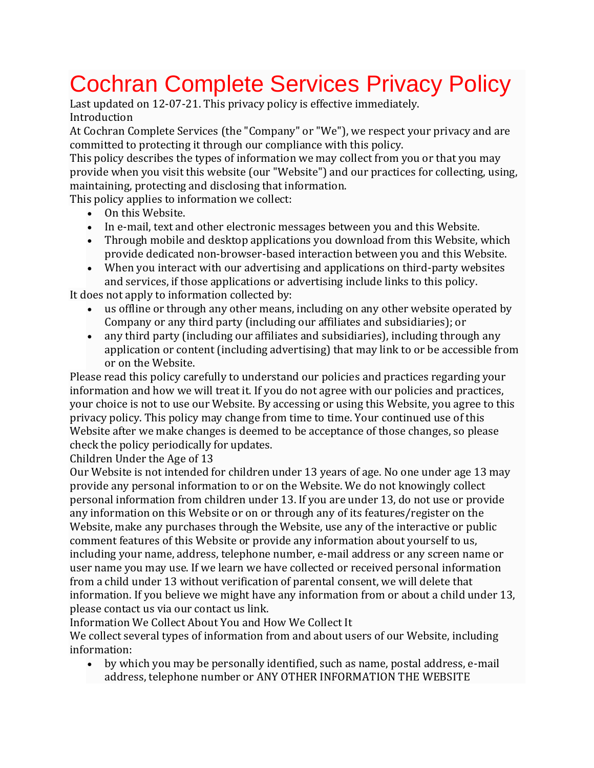## Cochran Complete Services Privacy Policy

Last updated on 12-07-21. This privacy policy is effective immediately. Introduction

At Cochran Complete Services (the "Company" or "We"), we respect your privacy and are committed to protecting it through our compliance with this policy.

This policy describes the types of information we may collect from you or that you may provide when you visit this website (our "Website") and our practices for collecting, using, maintaining, protecting and disclosing that information.

This policy applies to information we collect:

- On this Website.
- In e-mail, text and other electronic messages between you and this Website.
- Through mobile and desktop applications you download from this Website, which provide dedicated non-browser-based interaction between you and this Website.
- When you interact with our advertising and applications on third-party websites and services, if those applications or advertising include links to this policy.

It does not apply to information collected by:

- us offline or through any other means, including on any other website operated by Company or any third party (including our affiliates and subsidiaries); or
- any third party (including our affiliates and subsidiaries), including through any application or content (including advertising) that may link to or be accessible from or on the Website.

Please read this policy carefully to understand our policies and practices regarding your information and how we will treat it. If you do not agree with our policies and practices, your choice is not to use our Website. By accessing or using this Website, you agree to this privacy policy. This policy may change from time to time. Your continued use of this Website after we make changes is deemed to be acceptance of those changes, so please check the policy periodically for updates.

Children Under the Age of 13

Our Website is not intended for children under 13 years of age. No one under age 13 may provide any personal information to or on the Website. We do not knowingly collect personal information from children under 13. If you are under 13, do not use or provide any information on this Website or on or through any of its features/register on the Website, make any purchases through the Website, use any of the interactive or public comment features of this Website or provide any information about yourself to us, including your name, address, telephone number, e-mail address or any screen name or user name you may use. If we learn we have collected or received personal information from a child under 13 without verification of parental consent, we will delete that information. If you believe we might have any information from or about a child under 13, please contact us via our contact us link.

Information We Collect About You and How We Collect It

We collect several types of information from and about users of our Website, including information:

• by which you may be personally identified, such as name, postal address, e-mail address, telephone number or ANY OTHER INFORMATION THE WEBSITE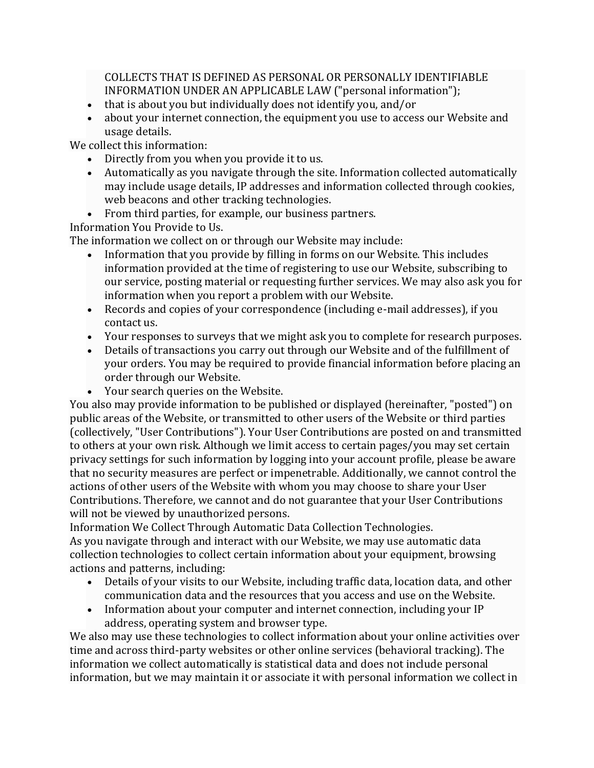COLLECTS THAT IS DEFINED AS PERSONAL OR PERSONALLY IDENTIFIABLE INFORMATION UNDER AN APPLICABLE LAW ("personal information");

- that is about you but individually does not identify you, and/or
- about your internet connection, the equipment you use to access our Website and usage details.

We collect this information:

- Directly from you when you provide it to us.
- Automatically as you navigate through the site. Information collected automatically may include usage details, IP addresses and information collected through cookies, web beacons and other tracking technologies.
- From third parties, for example, our business partners.

Information You Provide to Us.

The information we collect on or through our Website may include:

- Information that you provide by filling in forms on our Website. This includes information provided at the time of registering to use our Website, subscribing to our service, posting material or requesting further services. We may also ask you for information when you report a problem with our Website.
- Records and copies of your correspondence (including e-mail addresses), if you contact us.
- Your responses to surveys that we might ask you to complete for research purposes.
- Details of transactions you carry out through our Website and of the fulfillment of your orders. You may be required to provide financial information before placing an order through our Website.
- Your search queries on the Website.

You also may provide information to be published or displayed (hereinafter, "posted") on public areas of the Website, or transmitted to other users of the Website or third parties (collectively, "User Contributions"). Your User Contributions are posted on and transmitted to others at your own risk. Although we limit access to certain pages/you may set certain privacy settings for such information by logging into your account profile, please be aware that no security measures are perfect or impenetrable. Additionally, we cannot control the actions of other users of the Website with whom you may choose to share your User Contributions. Therefore, we cannot and do not guarantee that your User Contributions will not be viewed by unauthorized persons.

Information We Collect Through Automatic Data Collection Technologies. As you navigate through and interact with our Website, we may use automatic data collection technologies to collect certain information about your equipment, browsing actions and patterns, including:

- Details of your visits to our Website, including traffic data, location data, and other communication data and the resources that you access and use on the Website.
- Information about your computer and internet connection, including your IP address, operating system and browser type.

We also may use these technologies to collect information about your online activities over time and across third-party websites or other online services (behavioral tracking). The information we collect automatically is statistical data and does not include personal information, but we may maintain it or associate it with personal information we collect in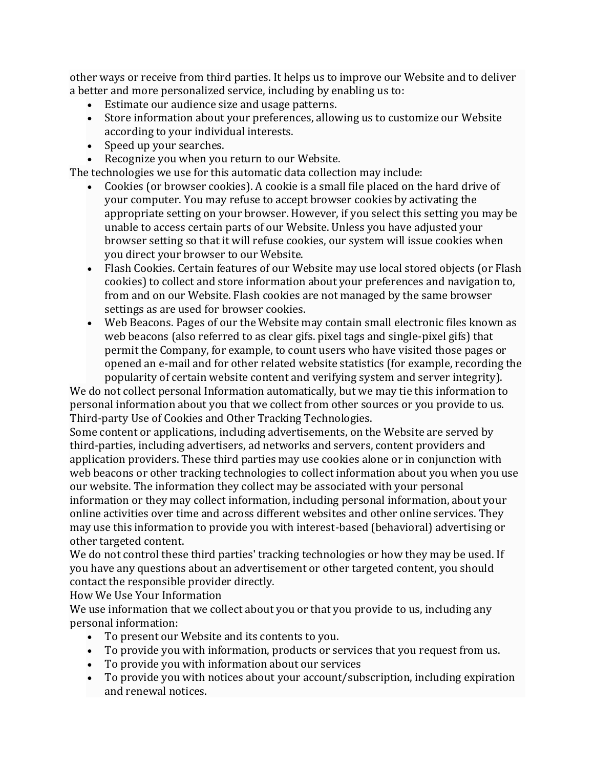other ways or receive from third parties. It helps us to improve our Website and to deliver a better and more personalized service, including by enabling us to:

- Estimate our audience size and usage patterns.
- Store information about your preferences, allowing us to customize our Website according to your individual interests.
- Speed up your searches.
- Recognize you when you return to our Website.

The technologies we use for this automatic data collection may include:

- Cookies (or browser cookies). A cookie is a small file placed on the hard drive of your computer. You may refuse to accept browser cookies by activating the appropriate setting on your browser. However, if you select this setting you may be unable to access certain parts of our Website. Unless you have adjusted your browser setting so that it will refuse cookies, our system will issue cookies when you direct your browser to our Website.
- Flash Cookies. Certain features of our Website may use local stored objects (or Flash cookies) to collect and store information about your preferences and navigation to, from and on our Website. Flash cookies are not managed by the same browser settings as are used for browser cookies.
- Web Beacons. Pages of our the Website may contain small electronic files known as web beacons (also referred to as clear gifs. pixel tags and single-pixel gifs) that permit the Company, for example, to count users who have visited those pages or opened an e-mail and for other related website statistics (for example, recording the popularity of certain website content and verifying system and server integrity).

We do not collect personal Information automatically, but we may tie this information to personal information about you that we collect from other sources or you provide to us. Third-party Use of Cookies and Other Tracking Technologies.

Some content or applications, including advertisements, on the Website are served by third-parties, including advertisers, ad networks and servers, content providers and application providers. These third parties may use cookies alone or in conjunction with web beacons or other tracking technologies to collect information about you when you use our website. The information they collect may be associated with your personal information or they may collect information, including personal information, about your online activities over time and across different websites and other online services. They may use this information to provide you with interest-based (behavioral) advertising or other targeted content.

We do not control these third parties' tracking technologies or how they may be used. If you have any questions about an advertisement or other targeted content, you should contact the responsible provider directly.

How We Use Your Information

We use information that we collect about you or that you provide to us, including any personal information:

- To present our Website and its contents to you.
- To provide you with information, products or services that you request from us.
- To provide you with information about our services
- To provide you with notices about your account/subscription, including expiration and renewal notices.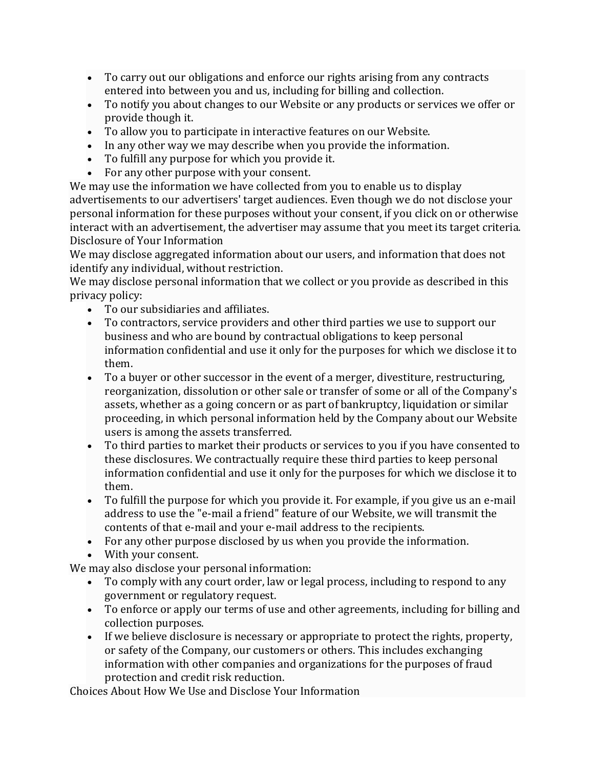- To carry out our obligations and enforce our rights arising from any contracts entered into between you and us, including for billing and collection.
- To notify you about changes to our Website or any products or services we offer or provide though it.
- To allow you to participate in interactive features on our Website.
- In any other way we may describe when you provide the information.
- To fulfill any purpose for which you provide it.
- For any other purpose with your consent.

We may use the information we have collected from you to enable us to display advertisements to our advertisers' target audiences. Even though we do not disclose your personal information for these purposes without your consent, if you click on or otherwise interact with an advertisement, the advertiser may assume that you meet its target criteria. Disclosure of Your Information

We may disclose aggregated information about our users, and information that does not identify any individual, without restriction.

We may disclose personal information that we collect or you provide as described in this privacy policy:

- To our subsidiaries and affiliates.
- To contractors, service providers and other third parties we use to support our business and who are bound by contractual obligations to keep personal information confidential and use it only for the purposes for which we disclose it to them.
- To a buyer or other successor in the event of a merger, divestiture, restructuring, reorganization, dissolution or other sale or transfer of some or all of the Company's assets, whether as a going concern or as part of bankruptcy, liquidation or similar proceeding, in which personal information held by the Company about our Website users is among the assets transferred.
- To third parties to market their products or services to you if you have consented to these disclosures. We contractually require these third parties to keep personal information confidential and use it only for the purposes for which we disclose it to them.
- To fulfill the purpose for which you provide it. For example, if you give us an e-mail address to use the "e-mail a friend" feature of our Website, we will transmit the contents of that e-mail and your e-mail address to the recipients.
- For any other purpose disclosed by us when you provide the information.
- With your consent.

We may also disclose your personal information:

- To comply with any court order, law or legal process, including to respond to any government or regulatory request.
- To enforce or apply our terms of use and other agreements, including for billing and collection purposes.
- If we believe disclosure is necessary or appropriate to protect the rights, property, or safety of the Company, our customers or others. This includes exchanging information with other companies and organizations for the purposes of fraud protection and credit risk reduction.

Choices About How We Use and Disclose Your Information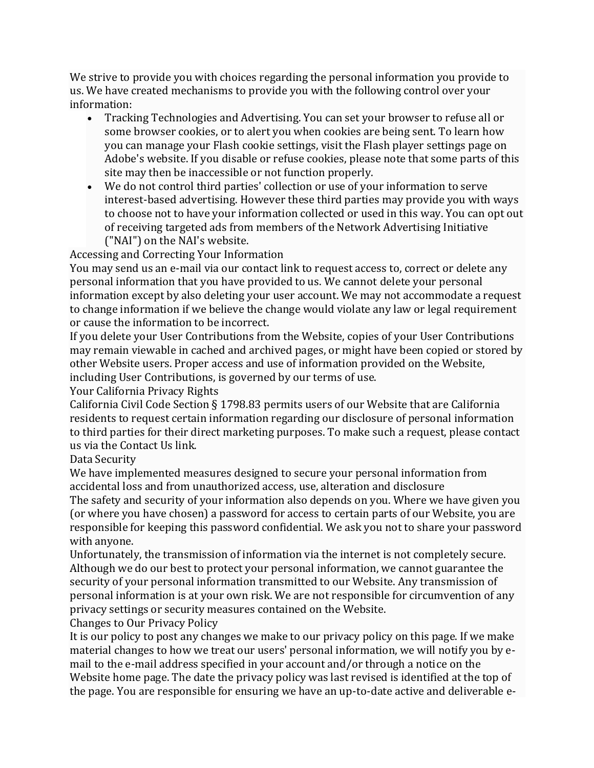We strive to provide you with choices regarding the personal information you provide to us. We have created mechanisms to provide you with the following control over your information:

- Tracking Technologies and Advertising. You can set your browser to refuse all or some browser cookies, or to alert you when cookies are being sent. To learn how you can manage your Flash cookie settings, visit the Flash player settings page on Adobe's website. If you disable or refuse cookies, please note that some parts of this site may then be inaccessible or not function properly.
- We do not control third parties' collection or use of your information to serve interest-based advertising. However these third parties may provide you with ways to choose not to have your information collected or used in this way. You can opt out of receiving targeted ads from members of the Network Advertising Initiative ("NAI") on the NAI's website.

Accessing and Correcting Your Information

You may send us an e-mail via our contact link to request access to, correct or delete any personal information that you have provided to us. We cannot delete your personal information except by also deleting your user account. We may not accommodate a request to change information if we believe the change would violate any law or legal requirement or cause the information to be incorrect.

If you delete your User Contributions from the Website, copies of your User Contributions may remain viewable in cached and archived pages, or might have been copied or stored by other Website users. Proper access and use of information provided on the Website, including User Contributions, is governed by our terms of use.

Your California Privacy Rights

California Civil Code Section § 1798.83 permits users of our Website that are California residents to request certain information regarding our disclosure of personal information to third parties for their direct marketing purposes. To make such a request, please contact us via the Contact Us link.

Data Security

We have implemented measures designed to secure your personal information from accidental loss and from unauthorized access, use, alteration and disclosure

The safety and security of your information also depends on you. Where we have given you (or where you have chosen) a password for access to certain parts of our Website, you are responsible for keeping this password confidential. We ask you not to share your password with anyone.

Unfortunately, the transmission of information via the internet is not completely secure. Although we do our best to protect your personal information, we cannot guarantee the security of your personal information transmitted to our Website. Any transmission of personal information is at your own risk. We are not responsible for circumvention of any privacy settings or security measures contained on the Website.

Changes to Our Privacy Policy

It is our policy to post any changes we make to our privacy policy on this page. If we make material changes to how we treat our users' personal information, we will notify you by email to the e-mail address specified in your account and/or through a notice on the Website home page. The date the privacy policy was last revised is identified at the top of the page. You are responsible for ensuring we have an up-to-date active and deliverable e